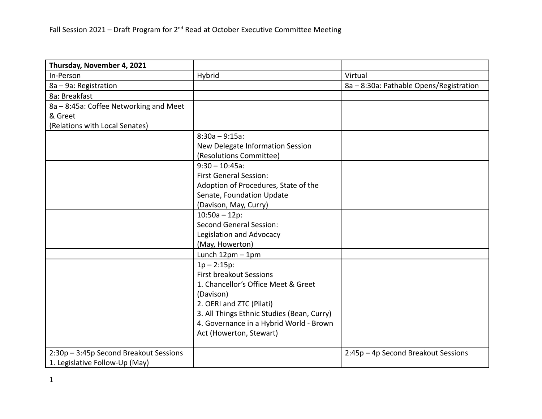| Thursday, November 4, 2021             |                                            |                                         |
|----------------------------------------|--------------------------------------------|-----------------------------------------|
| In-Person                              | Hybrid                                     | Virtual                                 |
| 8a - 9a: Registration                  |                                            | 8a - 8:30a: Pathable Opens/Registration |
| 8a: Breakfast                          |                                            |                                         |
| 8a - 8:45a: Coffee Networking and Meet |                                            |                                         |
| & Greet                                |                                            |                                         |
| (Relations with Local Senates)         |                                            |                                         |
|                                        | $8:30a - 9:15a$ :                          |                                         |
|                                        | New Delegate Information Session           |                                         |
|                                        | (Resolutions Committee)                    |                                         |
|                                        | $9:30 - 10:45a$ :                          |                                         |
|                                        | <b>First General Session:</b>              |                                         |
|                                        | Adoption of Procedures, State of the       |                                         |
|                                        | Senate, Foundation Update                  |                                         |
|                                        | (Davison, May, Curry)                      |                                         |
|                                        | $10:50a - 12p$ :                           |                                         |
|                                        | <b>Second General Session:</b>             |                                         |
|                                        | Legislation and Advocacy                   |                                         |
|                                        | (May, Howerton)                            |                                         |
|                                        | Lunch $12pm - 1pm$                         |                                         |
|                                        | $1p - 2:15p$ :                             |                                         |
|                                        | <b>First breakout Sessions</b>             |                                         |
|                                        | 1. Chancellor's Office Meet & Greet        |                                         |
|                                        | (Davison)                                  |                                         |
|                                        | 2. OERI and ZTC (Pilati)                   |                                         |
|                                        | 3. All Things Ethnic Studies (Bean, Curry) |                                         |
|                                        | 4. Governance in a Hybrid World - Brown    |                                         |
|                                        | Act (Howerton, Stewart)                    |                                         |
| 2:30p - 3:45p Second Breakout Sessions |                                            | 2:45p - 4p Second Breakout Sessions     |
| 1. Legislative Follow-Up (May)         |                                            |                                         |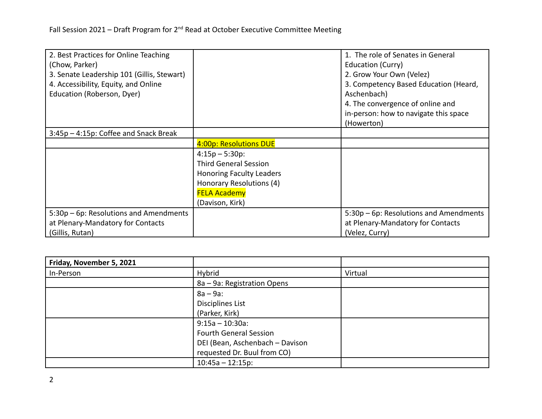| 2. Best Practices for Online Teaching      |                                 | 1. The role of Senates in General      |
|--------------------------------------------|---------------------------------|----------------------------------------|
| (Chow, Parker)                             |                                 | Education (Curry)                      |
| 3. Senate Leadership 101 (Gillis, Stewart) |                                 | 2. Grow Your Own (Velez)               |
| 4. Accessibility, Equity, and Online       |                                 | 3. Competency Based Education (Heard,  |
| Education (Roberson, Dyer)                 |                                 | Aschenbach)                            |
|                                            |                                 | 4. The convergence of online and       |
|                                            |                                 | in-person: how to navigate this space  |
|                                            |                                 | (Howerton)                             |
| 3:45p – 4:15p: Coffee and Snack Break      |                                 |                                        |
|                                            | 4:00p: Resolutions DUE          |                                        |
|                                            | $4:15p - 5:30p$ :               |                                        |
|                                            | <b>Third General Session</b>    |                                        |
|                                            | <b>Honoring Faculty Leaders</b> |                                        |
|                                            | Honorary Resolutions (4)        |                                        |
|                                            | <b>FELA Academy</b>             |                                        |
|                                            | (Davison, Kirk)                 |                                        |
| 5:30p – 6p: Resolutions and Amendments     |                                 | 5:30p – 6p: Resolutions and Amendments |
| at Plenary-Mandatory for Contacts          |                                 | at Plenary-Mandatory for Contacts      |
| (Gillis, Rutan)                            |                                 | (Velez, Curry)                         |

| Friday, November 5, 2021 |                                 |         |
|--------------------------|---------------------------------|---------|
| In-Person                | Hybrid                          | Virtual |
|                          | 8a – 9a: Registration Opens     |         |
|                          | $8a - 9a$ :                     |         |
|                          | Disciplines List                |         |
|                          | (Parker, Kirk)                  |         |
|                          | $9:15a - 10:30a$ :              |         |
|                          | <b>Fourth General Session</b>   |         |
|                          | DEI (Bean, Aschenbach - Davison |         |
|                          | requested Dr. Buul from CO)     |         |
|                          | $10:45a - 12:15p$ :             |         |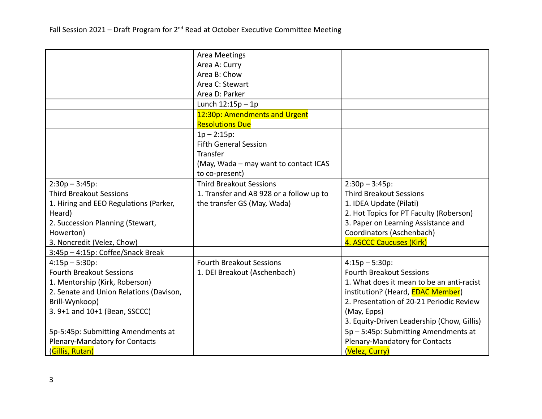|                                         | <b>Area Meetings</b>                     |                                            |
|-----------------------------------------|------------------------------------------|--------------------------------------------|
|                                         | Area A: Curry                            |                                            |
|                                         | Area B: Chow                             |                                            |
|                                         | Area C: Stewart                          |                                            |
|                                         | Area D: Parker                           |                                            |
|                                         | Lunch $12:15p-1p$                        |                                            |
|                                         | 12:30p: Amendments and Urgent            |                                            |
|                                         | <b>Resolutions Due</b>                   |                                            |
|                                         | $1p - 2:15p$ :                           |                                            |
|                                         | <b>Fifth General Session</b>             |                                            |
|                                         | Transfer                                 |                                            |
|                                         | (May, Wada - may want to contact ICAS    |                                            |
|                                         | to co-present)                           |                                            |
| $2:30p - 3:45p$ :                       | <b>Third Breakout Sessions</b>           | $2:30p - 3:45p$ :                          |
| <b>Third Breakout Sessions</b>          | 1. Transfer and AB 928 or a follow up to | <b>Third Breakout Sessions</b>             |
| 1. Hiring and EEO Regulations (Parker,  | the transfer GS (May, Wada)              | 1. IDEA Update (Pilati)                    |
| Heard)                                  |                                          | 2. Hot Topics for PT Faculty (Roberson)    |
| 2. Succession Planning (Stewart,        |                                          | 3. Paper on Learning Assistance and        |
| Howerton)                               |                                          | Coordinators (Aschenbach)                  |
| 3. Noncredit (Velez, Chow)              |                                          | 4. ASCCC Caucuses (Kirk)                   |
| 3:45p - 4:15p: Coffee/Snack Break       |                                          |                                            |
| $4:15p - 5:30p$ :                       | <b>Fourth Breakout Sessions</b>          | $4:15p - 5:30p$ :                          |
| <b>Fourth Breakout Sessions</b>         | 1. DEI Breakout (Aschenbach)             | <b>Fourth Breakout Sessions</b>            |
| 1. Mentorship (Kirk, Roberson)          |                                          | 1. What does it mean to be an anti-racist  |
| 2. Senate and Union Relations (Davison, |                                          | institution? (Heard, <b>EDAC Member)</b>   |
| Brill-Wynkoop)                          |                                          | 2. Presentation of 20-21 Periodic Review   |
| 3. 9+1 and 10+1 (Bean, SSCCC)           |                                          | (May, Epps)                                |
|                                         |                                          | 3. Equity-Driven Leadership (Chow, Gillis) |
| 5p-5:45p: Submitting Amendments at      |                                          | 5p - 5:45p: Submitting Amendments at       |
| Plenary-Mandatory for Contacts          |                                          | Plenary-Mandatory for Contacts             |
| (Gillis, Rutan)                         |                                          | (Velez, Curry)                             |